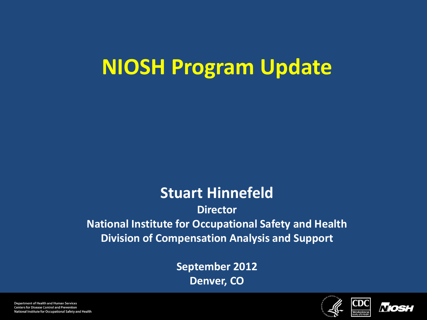## **NIOSH Program Update**

#### **Stuart Hinnefeld**

**Director National Institute for Occupational Safety and Health Division of Compensation Analysis and Support**

> **September 2012 Denver, CO**





Department of Health and Human Services **Centers for Disease Control and Prevention** National Institute for Occupational Safety and Health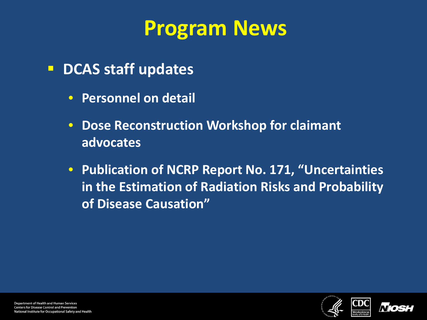## **Program News**

- **P** DCAS staff updates
	- **Personnel on detail**
	- **Dose Reconstruction Workshop for claimant advocates**
	- **Publication of NCRP Report No. 171, "Uncertainties in the Estimation of Radiation Risks and Probability of Disease Causation"**



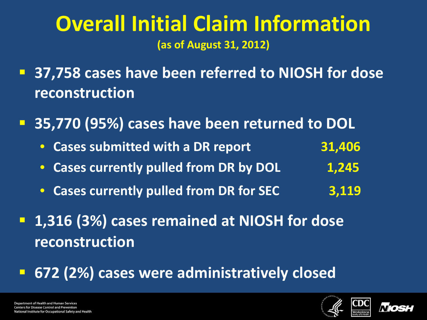### **Overall Initial Claim Information (as of August 31, 2012)**

- **37,758 cases have been referred to NIOSH for dose reconstruction**
- **35,770 (95%) cases have been returned to DOL**
	- **Cases submitted with a DR report 31,406**
	- **Cases currently pulled from DR by DOL**  1,245
	- **Cases currently pulled from DR for SEC 3,119**
- **1,316 (3%) cases remained at NIOSH for dose reconstruction**

#### **672 (2%) cases were administratively closed**

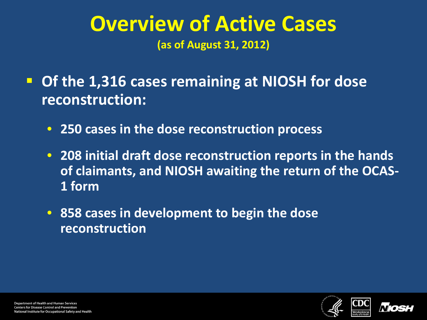#### **Overview of Active Cases (as of August 31, 2012)**

 **Of the 1,316 cases remaining at NIOSH for dose reconstruction:**

- **250 cases in the dose reconstruction process**
- **208 initial draft dose reconstruction reports in the hands of claimants, and NIOSH awaiting the return of the OCAS-1 form**
- **858 cases in development to begin the dose reconstruction**





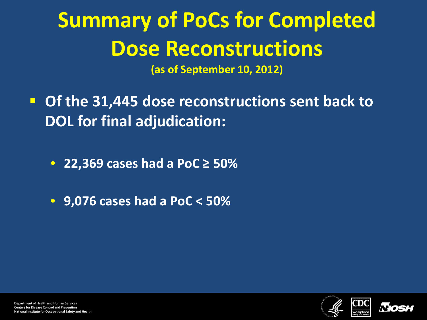# **Summary of PoCs for Completed Dose Reconstructions**

**(as of September 10, 2012)**

- **Of the 31,445 dose reconstructions sent back to DOL for final adjudication:**
	- **22,369 cases had a PoC ≥ 50%**
	- **9,076 cases had a PoC < 50%**



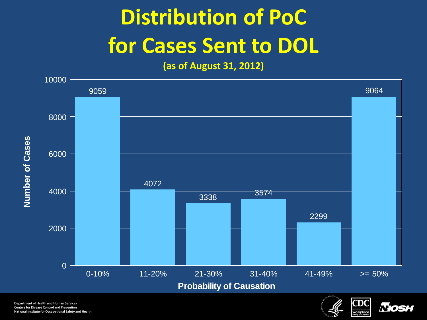# **Distribution of PoC for Cases Sent to DOL**

**(as of August 31, 2012)**





*Niosi*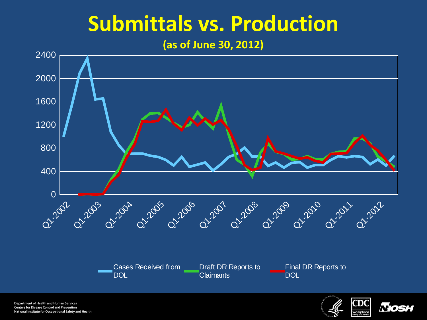## **Submittals vs. Production**

#### **(as of June 30, 2012)**



Department of Health and Human Services **Centers for Disease Control and Prevention** National Institute for Occupational Safety and Health



*Nosi*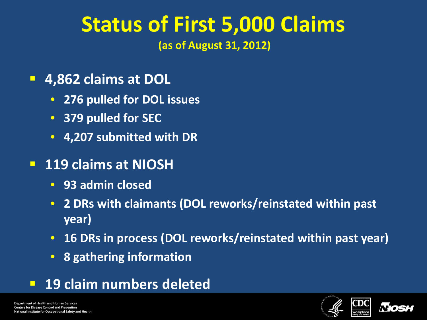# **Status of First 5,000 Claims**

**(as of August 31, 2012)** 

- **4,862 claims at DOL**
	- **276 pulled for DOL issues**
	- **379 pulled for SEC**
	- **4,207 submitted with DR**
- **119 claims at NIOSH**
	- **93 admin closed**
	- **2 DRs with claimants (DOL reworks/reinstated within past year)**
	- **16 DRs in process (DOL reworks/reinstated within past year)**
	- **8 gathering information**
- **19 claim numbers deleted**



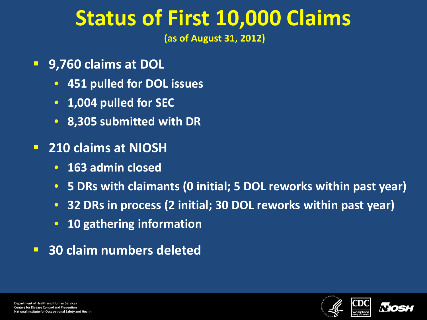## **Status of First 10,000 Claims**

**(as of August 31, 2012)** 

- **9,760 claims at DOL**
	- **451 pulled for DOL issues**
	- **1,004 pulled for SEC**
	- **8,305 submitted with DR**
- **210 claims at NIOSH**
	- **163 admin closed**
	- **5 DRs with claimants (0 initial; 5 DOL reworks within past year)**
	- **32 DRs in process (2 initial; 30 DOL reworks within past year)**
	- **10 gathering information**
- **30 claim numbers deleted**



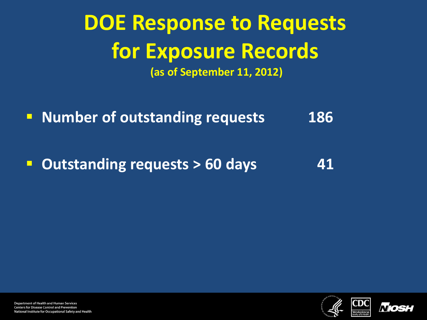## **DOE Response to Requests for Exposure Records (as of September 11, 2012)**

**Number of outstanding requests 186** 

**Dutstanding requests > 60 days** 41



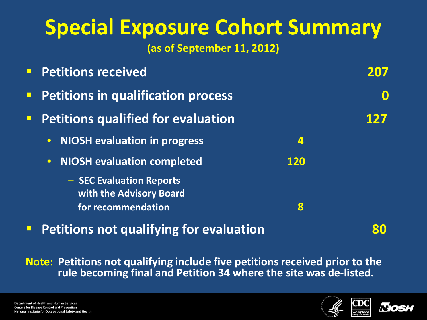# **Special Exposure Cohort Summary**

**(as of September 11, 2012)**

|        | <b>Petitions received</b>                           |            |  |
|--------|-----------------------------------------------------|------------|--|
| $\Box$ | <b>Petitions in qualification process</b>           |            |  |
|        | <b>Petitions qualified for evaluation</b>           |            |  |
|        | <b>NIOSH evaluation in progress</b><br>$\bullet$    | 4          |  |
|        | <b>NIOSH evaluation completed</b><br>$\bullet$      | <b>120</b> |  |
|        | - SEC Evaluation Reports<br>with the Advisory Board |            |  |
|        | for recommendation                                  | 8          |  |
|        |                                                     |            |  |

**Petitions not qualifying for evaluation 80**

**Note: Petitions not qualifying include five petitions received prior to the rule becoming final and Petition 34 where the site was de-listed.**